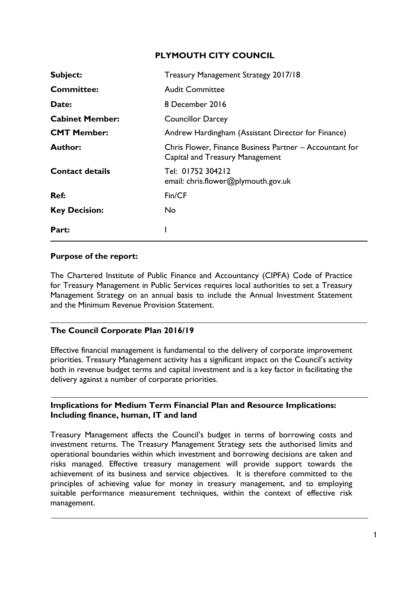# **PLYMOUTH CITY COUNCIL**

| Subject:               | Treasury Management Strategy 2017/18                                                       |
|------------------------|--------------------------------------------------------------------------------------------|
| <b>Committee:</b>      | <b>Audit Committee</b>                                                                     |
| Date:                  | 8 December 2016                                                                            |
| <b>Cabinet Member:</b> | <b>Councillor Darcey</b>                                                                   |
| <b>CMT Member:</b>     | Andrew Hardingham (Assistant Director for Finance)                                         |
| <b>Author:</b>         | Chris Flower, Finance Business Partner - Accountant for<br>Capital and Treasury Management |
| <b>Contact details</b> | Tel: 01752 304212<br>email: chris.flower@plymouth.gov.uk                                   |
| Ref:                   | Fin/CF                                                                                     |
| <b>Key Decision:</b>   | No.                                                                                        |
| Part:                  |                                                                                            |

#### **Purpose of the report:**

The Chartered Institute of Public Finance and Accountancy (CIPFA) Code of Practice for Treasury Management in Public Services requires local authorities to set a Treasury Management Strategy on an annual basis to include the Annual Investment Statement and the Minimum Revenue Provision Statement.

# **The Council Corporate Plan 2016/19**

Effective financial management is fundamental to the delivery of corporate improvement priorities. Treasury Management activity has a significant impact on the Council's activity both in revenue budget terms and capital investment and is a key factor in facilitating the delivery against a number of corporate priorities.

#### **Implications for Medium Term Financial Plan and Resource Implications: Including finance, human, IT and land**

Treasury Management affects the Council's budget in terms of borrowing costs and investment returns. The Treasury Management Strategy sets the authorised limits and operational boundaries within which investment and borrowing decisions are taken and risks managed. Effective treasury management will provide support towards the achievement of its business and service objectives. It is therefore committed to the principles of achieving value for money in treasury management, and to employing suitable performance measurement techniques, within the context of effective risk management.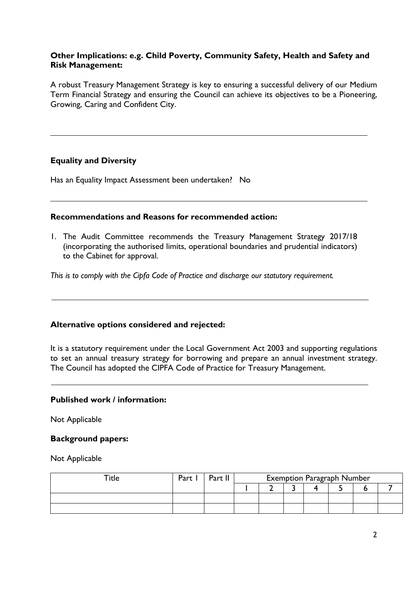## **Other Implications: e.g. Child Poverty, Community Safety, Health and Safety and Risk Management:**

A robust Treasury Management Strategy is key to ensuring a successful delivery of our Medium Term Financial Strategy and ensuring the Council can achieve its objectives to be a Pioneering, Growing, Caring and Confident City.

## **Equality and Diversity**

Has an Equality Impact Assessment been undertaken? No

## **Recommendations and Reasons for recommended action:**

1. The Audit Committee recommends the Treasury Management Strategy 2017/18 (incorporating the authorised limits, operational boundaries and prudential indicators) to the Cabinet for approval.

*This is to comply with the Cipfa Code of Practice and discharge our statutory requirement.*

## **Alternative options considered and rejected:**

It is a statutory requirement under the Local Government Act 2003 and supporting regulations to set an annual treasury strategy for borrowing and prepare an annual investment strategy. The Council has adopted the CIPFA Code of Practice for Treasury Management.

## **Published work / information:**

Not Applicable

#### **Background papers:**

Not Applicable

| $\mathop{\mathsf{~Tite}}$ | Part | Part I | <b>Exemption Paragraph Number</b> |  |  |  |  |  |  |  |  |  |  |  |  |
|---------------------------|------|--------|-----------------------------------|--|--|--|--|--|--|--|--|--|--|--|--|
|                           |      |        |                                   |  |  |  |  |  |  |  |  |  |  |  |  |
|                           |      |        |                                   |  |  |  |  |  |  |  |  |  |  |  |  |
|                           |      |        |                                   |  |  |  |  |  |  |  |  |  |  |  |  |